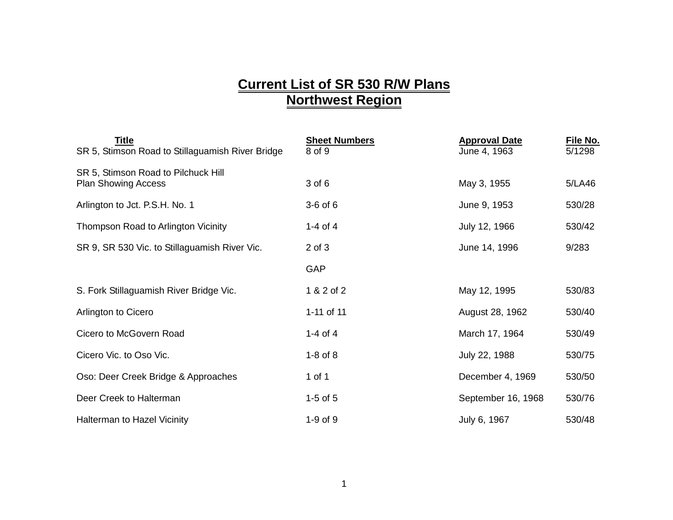## **Current List of SR 530 R/W Plans Northwest Region**

| <b>Title</b><br>SR 5, Stimson Road to Stillaguamish River Bridge  | <b>Sheet Numbers</b><br>8 of 9 | <b>Approval Date</b><br>June 4, 1963 | File No.<br>5/1298 |
|-------------------------------------------------------------------|--------------------------------|--------------------------------------|--------------------|
| SR 5, Stimson Road to Pilchuck Hill<br><b>Plan Showing Access</b> | 3 of 6                         | May 3, 1955                          | 5/LA46             |
| Arlington to Jct. P.S.H. No. 1                                    | $3-6$ of $6$                   | June 9, 1953                         | 530/28             |
| Thompson Road to Arlington Vicinity                               | 1-4 of 4                       | July 12, 1966                        | 530/42             |
| SR 9, SR 530 Vic. to Stillaguamish River Vic.                     | $2$ of $3$                     | June 14, 1996                        | 9/283              |
|                                                                   | GAP                            |                                      |                    |
| S. Fork Stillaguamish River Bridge Vic.                           | 1 & 2 of 2                     | May 12, 1995                         | 530/83             |
| Arlington to Cicero                                               | 1-11 of 11                     | August 28, 1962                      | 530/40             |
| Cicero to McGovern Road                                           | 1-4 of 4                       | March 17, 1964                       | 530/49             |
| Cicero Vic. to Oso Vic.                                           | $1-8$ of $8$                   | July 22, 1988                        | 530/75             |
| Oso: Deer Creek Bridge & Approaches                               | 1 of 1                         | December 4, 1969                     | 530/50             |
| Deer Creek to Halterman                                           | $1-5$ of $5$                   | September 16, 1968                   | 530/76             |
| <b>Halterman to Hazel Vicinity</b>                                | $1-9$ of $9$                   | July 6, 1967                         | 530/48             |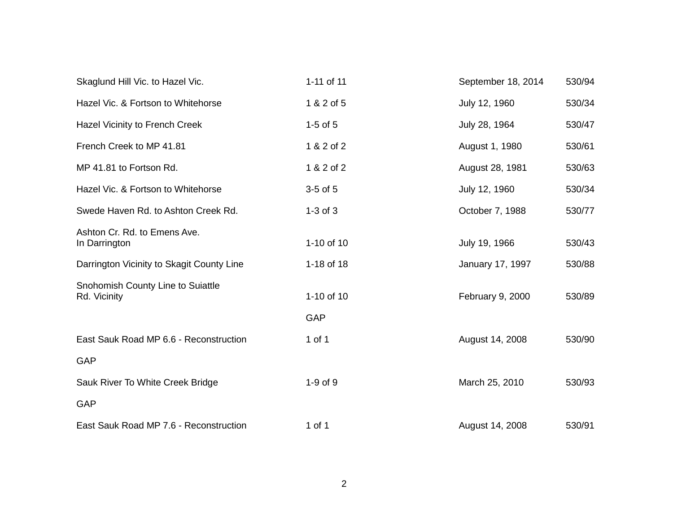| Skaglund Hill Vic. to Hazel Vic.                  | 1-11 of 11   | September 18, 2014 | 530/94 |
|---------------------------------------------------|--------------|--------------------|--------|
| Hazel Vic. & Fortson to Whitehorse                | 1 & 2 of 5   | July 12, 1960      | 530/34 |
| Hazel Vicinity to French Creek                    | $1-5$ of $5$ | July 28, 1964      | 530/47 |
| French Creek to MP 41.81                          | 1 & 2 of 2   | August 1, 1980     | 530/61 |
| MP 41.81 to Fortson Rd.                           | 1 & 2 of 2   | August 28, 1981    | 530/63 |
| Hazel Vic. & Fortson to Whitehorse                | $3-5$ of $5$ | July 12, 1960      | 530/34 |
| Swede Haven Rd. to Ashton Creek Rd.               | $1-3$ of $3$ | October 7, 1988    | 530/77 |
| Ashton Cr. Rd. to Emens Ave.<br>In Darrington     | 1-10 of 10   | July 19, 1966      | 530/43 |
| Darrington Vicinity to Skagit County Line         | 1-18 of 18   | January 17, 1997   | 530/88 |
| Snohomish County Line to Suiattle<br>Rd. Vicinity | 1-10 of 10   | February 9, 2000   | 530/89 |
|                                                   | <b>GAP</b>   |                    |        |
| East Sauk Road MP 6.6 - Reconstruction            | 1 of 1       | August 14, 2008    | 530/90 |
| <b>GAP</b>                                        |              |                    |        |
| Sauk River To White Creek Bridge                  | $1-9$ of $9$ | March 25, 2010     | 530/93 |
| <b>GAP</b>                                        |              |                    |        |
| East Sauk Road MP 7.6 - Reconstruction            | 1 of 1       | August 14, 2008    | 530/91 |